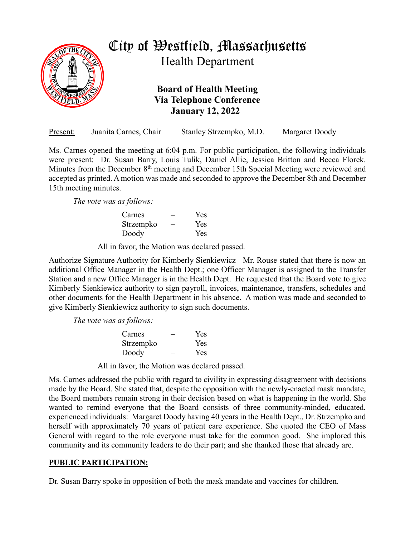

## City of Westfield, Massachusetts

Health Department

**Board of Health Meeting Via Telephone Conference January 12, 2022**

| Present: | Juanita Carnes, Chair | Stanley Strzempko, M.D. | Margaret Doody |
|----------|-----------------------|-------------------------|----------------|
|          |                       |                         |                |

Ms. Carnes opened the meeting at 6:04 p.m. For public participation, the following individuals were present: Dr. Susan Barry, Louis Tulik, Daniel Allie, Jessica Britton and Becca Florek. Minutes from the December 8<sup>th</sup> meeting and December 15th Special Meeting were reviewed and accepted as printed. A motion was made and seconded to approve the December 8th and December 15th meeting minutes.

*The vote was as follows:*

| Carnes    | Yes |
|-----------|-----|
| Strzempko | Yes |
| Doody     | Yes |

All in favor, the Motion was declared passed.

Authorize Signature Authority for Kimberly Sienkiewicz Mr. Rouse stated that there is now an additional Office Manager in the Health Dept.; one Officer Manager is assigned to the Transfer Station and a new Office Manager is in the Health Dept. He requested that the Board vote to give Kimberly Sienkiewicz authority to sign payroll, invoices, maintenance, transfers, schedules and other documents for the Health Department in his absence. A motion was made and seconded to give Kimberly Sienkiewicz authority to sign such documents.

*The vote was as follows:*

| Carnes    | Yes        |
|-----------|------------|
| Strzempko | Yes        |
| Doody     | <b>Yes</b> |

All in favor, the Motion was declared passed.

Ms. Carnes addressed the public with regard to civility in expressing disagreement with decisions made by the Board. She stated that, despite the opposition with the newly-enacted mask mandate, the Board members remain strong in their decision based on what is happening in the world. She wanted to remind everyone that the Board consists of three community-minded, educated, experienced individuals: Margaret Doody having 40 years in the Health Dept., Dr. Strzempko and herself with approximately 70 years of patient care experience. She quoted the CEO of Mass General with regard to the role everyone must take for the common good. She implored this community and its community leaders to do their part; and she thanked those that already are.

## **PUBLIC PARTICIPATION:**

Dr. Susan Barry spoke in opposition of both the mask mandate and vaccines for children.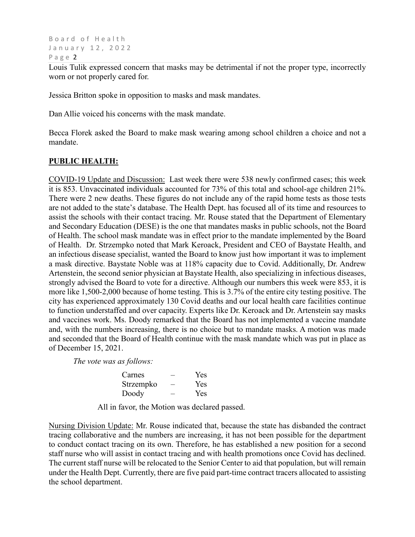Board of Health January 12, 2022 Page 2

Louis Tulik expressed concern that masks may be detrimental if not the proper type, incorrectly worn or not properly cared for.

Jessica Britton spoke in opposition to masks and mask mandates.

Dan Allie voiced his concerns with the mask mandate.

Becca Florek asked the Board to make mask wearing among school children a choice and not a mandate.

## **PUBLIC HEALTH:**

COVID-19 Update and Discussion: Last week there were 538 newly confirmed cases; this week it is 853. Unvaccinated individuals accounted for 73% of this total and school-age children 21%. There were 2 new deaths. These figures do not include any of the rapid home tests as those tests are not added to the state's database. The Health Dept. has focused all of its time and resources to assist the schools with their contact tracing. Mr. Rouse stated that the Department of Elementary and Secondary Education (DESE) is the one that mandates masks in public schools, not the Board of Health. The school mask mandate was in effect prior to the mandate implemented by the Board of Health. Dr. Strzempko noted that Mark Keroack, President and CEO of Baystate Health, and an infectious disease specialist, wanted the Board to know just how important it was to implement a mask directive. Baystate Noble was at 118% capacity due to Covid. Additionally, Dr. Andrew Artenstein, the second senior physician at Baystate Health, also specializing in infectious diseases, strongly advised the Board to vote for a directive. Although our numbers this week were 853, it is more like 1,500-2,000 because of home testing. This is 3.7% of the entire city testing positive. The city has experienced approximately 130 Covid deaths and our local health care facilities continue to function understaffed and over capacity. Experts like Dr. Keroack and Dr. Artenstein say masks and vaccines work. Ms. Doody remarked that the Board has not implemented a vaccine mandate and, with the numbers increasing, there is no choice but to mandate masks. A motion was made and seconded that the Board of Health continue with the mask mandate which was put in place as of December 15, 2021.

*The vote was as follows:*

| Carnes    | Yes |
|-----------|-----|
| Strzempko | Yes |
| Doody     | Yes |

All in favor, the Motion was declared passed.

Nursing Division Update: Mr. Rouse indicated that, because the state has disbanded the contract tracing collaborative and the numbers are increasing, it has not been possible for the department to conduct contact tracing on its own. Therefore, he has established a new position for a second staff nurse who will assist in contact tracing and with health promotions once Covid has declined. The current staff nurse will be relocated to the Senior Center to aid that population, but will remain under the Health Dept. Currently, there are five paid part-time contract tracers allocated to assisting the school department.